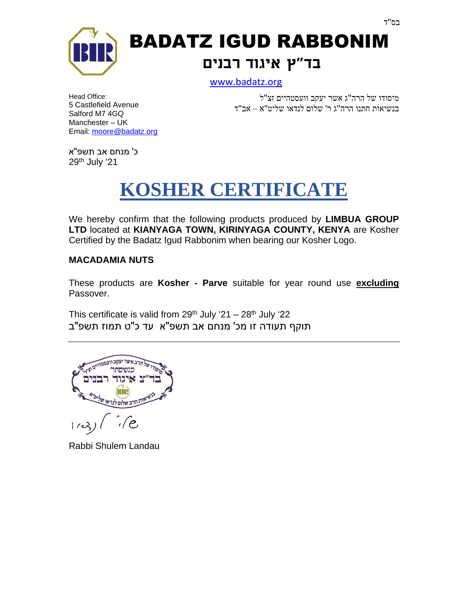

BADATZ IGUD RABBONIM **בד"ץ איגוד רבנים**

[www.badatz.org](http://www.badatz.org/)

Head Office: 5 Castlefield Avenue Salford M7 4GQ Manchester – UK Email: [moore@badatz.org](mailto:moore@badatz.org)

 מיסודו של הרה"ג אשר יעקב וועסטהיים זצ"ל בנשיאות חתנו הרה"ג ר' שלום לנדאו שליט"א – אב"ד

כ' מנחם אב תשפ"א  $29<sup>th</sup>$  July '21

# **KOSHER CERTIFICATE**

We hereby confirm that the following products produced by **LIMBUA GROUP LTD** located at **KIANYAGA TOWN, KIRINYAGA COUNTY, KENYA** are Kosher Certified by the Badatz Igud Rabbonim when bearing our Kosher Logo.

### **MACADAMIA NUTS**

These products are **Kosher - Parve** suitable for year round use **excluding** Passover.

This certificate is valid from  $29^{th}$  July '21 –  $28^{th}$  July '22 תוקף תעודה זו מכ' מנחם אב תשפ"א עד כ"ט תמוז תשפ"ב

בשלום לנדאו'  $\epsilon$ 

Rabbi Shulem Landau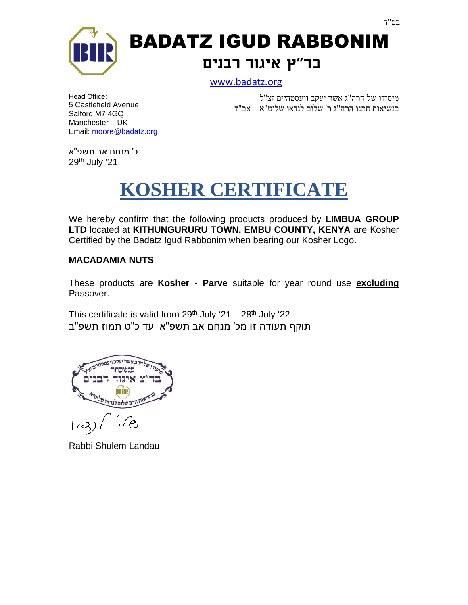

BADATZ IGUD RABBONIM **בד"ץ איגוד רבנים**

[www.badatz.org](http://www.badatz.org/)

Head Office: 5 Castlefield Avenue Salford M7 4GQ Manchester – UK Email: [moore@badatz.org](mailto:moore@badatz.org)

 מיסודו של הרה"ג אשר יעקב ו ועסטהיים זצ"ל בנשיאות חתנו הרה"ג ר' שלום לנדאו שליט"א – אב"ד

כ' מנחם אב תשפ"א  $29<sup>th</sup>$  July '21

# **KOSHER CERTIFICATE**

We hereby confirm that the following products produced by **LIMBUA GROUP LTD** located at **KITHUNGURURU TOWN, EMBU COUNTY, KENYA** are Kosher Certified by the Badatz Igud Rabbonim when bearing our Kosher Logo.

### **MACADAMIA NUTS**

These products are **Kosher - Parve** suitable for year round use **excluding** Passover.

This certificate is valid from  $29^{th}$  July '21 –  $28^{th}$  July '22 תוקף תעודה זו מכ' מנחם אב תשפ"א עד כ"ט תמוז תשפ"ב

בשלום לנדאו'  $\epsilon$ 

Rabbi Shulem Landau